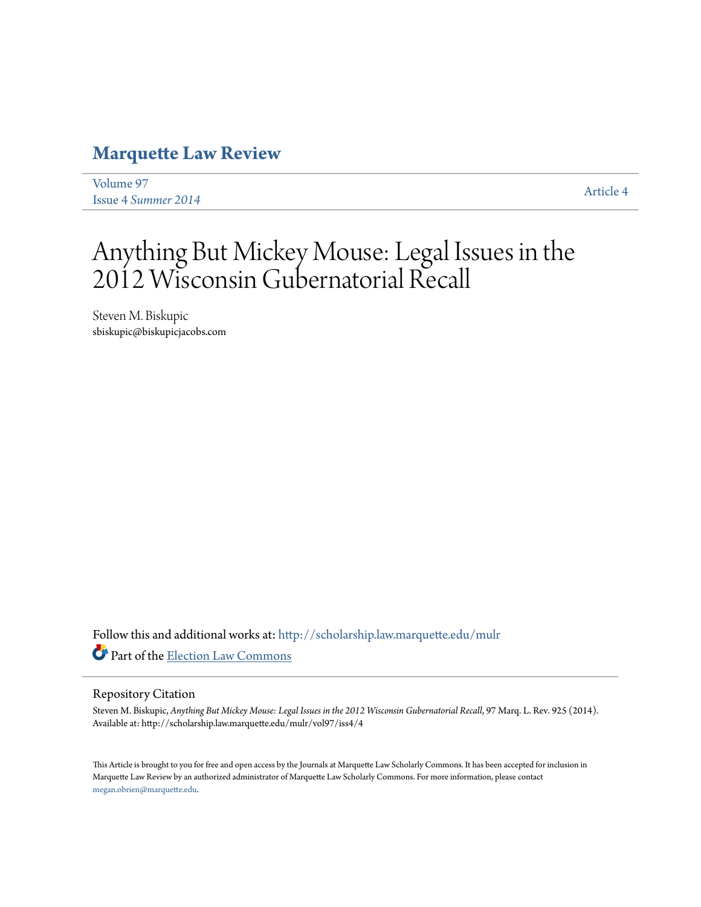## **[Marquette Law Review](http://scholarship.law.marquette.edu/mulr?utm_source=scholarship.law.marquette.edu%2Fmulr%2Fvol97%2Fiss4%2F4&utm_medium=PDF&utm_campaign=PDFCoverPages)**

[Volume 97](http://scholarship.law.marquette.edu/mulr/vol97?utm_source=scholarship.law.marquette.edu%2Fmulr%2Fvol97%2Fiss4%2F4&utm_medium=PDF&utm_campaign=PDFCoverPages) Issue 4 *[Summer 2014](http://scholarship.law.marquette.edu/mulr/vol97/iss4?utm_source=scholarship.law.marquette.edu%2Fmulr%2Fvol97%2Fiss4%2F4&utm_medium=PDF&utm_campaign=PDFCoverPages)* [Article 4](http://scholarship.law.marquette.edu/mulr/vol97/iss4/4?utm_source=scholarship.law.marquette.edu%2Fmulr%2Fvol97%2Fiss4%2F4&utm_medium=PDF&utm_campaign=PDFCoverPages)

# Anything But Mickey Mouse: Legal Issues in the 2012 Wisconsin Gubernatorial Recall

Steven M. Biskupic sbiskupic@biskupicjacobs.com

Follow this and additional works at: [http://scholarship.law.marquette.edu/mulr](http://scholarship.law.marquette.edu/mulr?utm_source=scholarship.law.marquette.edu%2Fmulr%2Fvol97%2Fiss4%2F4&utm_medium=PDF&utm_campaign=PDFCoverPages) Part of the [Election Law Commons](http://network.bepress.com/hgg/discipline/1121?utm_source=scholarship.law.marquette.edu%2Fmulr%2Fvol97%2Fiss4%2F4&utm_medium=PDF&utm_campaign=PDFCoverPages)

#### Repository Citation

Steven M. Biskupic, Anything But Mickey Mouse: Legal Issues in the 2012 Wisconsin Gubernatorial Recall, 97 Marq. L. Rev. 925 (2014). Available at: http://scholarship.law.marquette.edu/mulr/vol97/iss4/4

This Article is brought to you for free and open access by the Journals at Marquette Law Scholarly Commons. It has been accepted for inclusion in Marquette Law Review by an authorized administrator of Marquette Law Scholarly Commons. For more information, please contact [megan.obrien@marquette.edu.](mailto:megan.obrien@marquette.edu)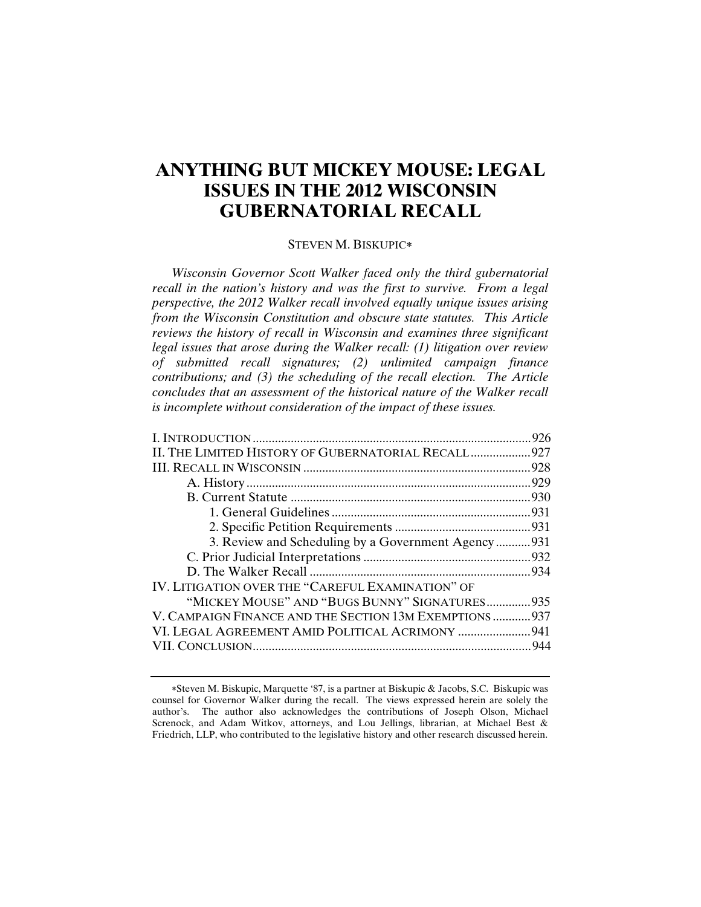### **ANYTHING BUT MICKEY MOUSE: LEGAL ISSUES IN THE 2012 WISCONSIN GUBERNATORIAL RECALL**

#### STEVEN M. BISKUPIC

*Wisconsin Governor Scott Walker faced only the third gubernatorial recall in the nation's history and was the first to survive. From a legal perspective, the 2012 Walker recall involved equally unique issues arising from the Wisconsin Constitution and obscure state statutes. This Article reviews the history of recall in Wisconsin and examines three significant legal issues that arose during the Walker recall: (1) litigation over review of submitted recall signatures; (2) unlimited campaign finance contributions; and (3) the scheduling of the recall election. The Article concludes that an assessment of the historical nature of the Walker recall is incomplete without consideration of the impact of these issues.* 

|                                                        | .926 |
|--------------------------------------------------------|------|
| II. THE LIMITED HISTORY OF GUBERNATORIAL RECALL 927    |      |
|                                                        |      |
|                                                        |      |
|                                                        |      |
|                                                        |      |
|                                                        |      |
| 3. Review and Scheduling by a Government Agency931     |      |
|                                                        |      |
|                                                        |      |
| IV. LITIGATION OVER THE "CAREFUL EXAMINATION" OF       |      |
| "MICKEY MOUSE" AND "BUGS BUNNY" SIGNATURES 935         |      |
| V. CAMPAIGN FINANCE AND THE SECTION 13M EXEMPTIONS 937 |      |
| VI. LEGAL AGREEMENT AMID POLITICAL ACRIMONY  941       |      |
|                                                        |      |
|                                                        |      |

Steven M. Biskupic, Marquette '87, is a partner at Biskupic & Jacobs, S.C. Biskupic was counsel for Governor Walker during the recall. The views expressed herein are solely the author's. The author also acknowledges the contributions of Joseph Olson, Michael Screnock, and Adam Witkov, attorneys, and Lou Jellings, librarian, at Michael Best & Friedrich, LLP, who contributed to the legislative history and other research discussed herein.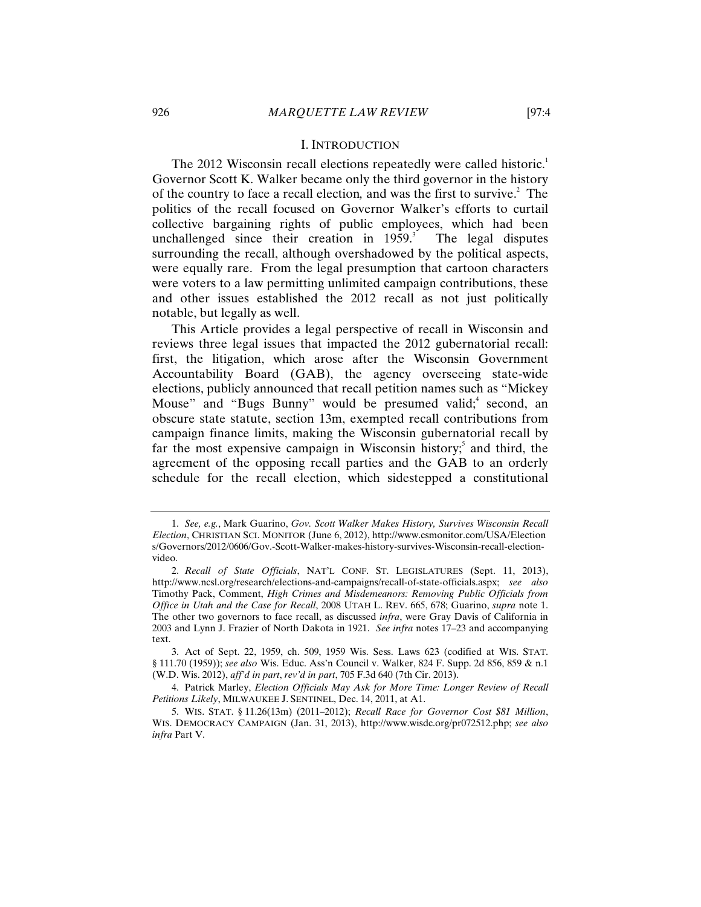#### I. INTRODUCTION

The 2012 Wisconsin recall elections repeatedly were called historic.<sup>1</sup> Governor Scott K. Walker became only the third governor in the history of the country to face a recall election, and was the first to survive.<sup>2</sup> The politics of the recall focused on Governor Walker's efforts to curtail collective bargaining rights of public employees, which had been unchallenged since their creation in  $1959$ . The legal disputes surrounding the recall, although overshadowed by the political aspects, were equally rare. From the legal presumption that cartoon characters were voters to a law permitting unlimited campaign contributions, these and other issues established the 2012 recall as not just politically notable, but legally as well.

This Article provides a legal perspective of recall in Wisconsin and reviews three legal issues that impacted the 2012 gubernatorial recall: first, the litigation, which arose after the Wisconsin Government Accountability Board (GAB), the agency overseeing state-wide elections, publicly announced that recall petition names such as "Mickey Mouse" and "Bugs Bunny" would be presumed valid;<sup>4</sup> second, an obscure state statute, section 13m, exempted recall contributions from campaign finance limits, making the Wisconsin gubernatorial recall by far the most expensive campaign in Wisconsin history; and third, the agreement of the opposing recall parties and the GAB to an orderly schedule for the recall election, which sidestepped a constitutional

<sup>1.</sup> *See, e.g.*, Mark Guarino, *Gov. Scott Walker Makes History, Survives Wisconsin Recall Election*, CHRISTIAN SCI. MONITOR (June 6, 2012), http://www.csmonitor.com/USA/Election s/Governors/2012/0606/Gov.-Scott-Walker-makes-history-survives-Wisconsin-recall-electionvideo.

<sup>2.</sup> *Recall of State Officials*, NAT'L CONF. ST. LEGISLATURES (Sept. 11, 2013), http://www.ncsl.org/research/elections-and-campaigns/recall-of-state-officials.aspx; *see also* Timothy Pack, Comment, *High Crimes and Misdemeanors: Removing Public Officials from Office in Utah and the Case for Recall*, 2008 UTAH L. REV. 665, 678; Guarino, *supra* note 1. The other two governors to face recall, as discussed *infra*, were Gray Davis of California in 2003 and Lynn J. Frazier of North Dakota in 1921. *See infra* notes 17–23 and accompanying text.

<sup>3.</sup> Act of Sept. 22, 1959, ch. 509, 1959 Wis. Sess. Laws 623 (codified at WIS. STAT. § 111.70 (1959)); *see also* Wis. Educ. Ass'n Council v. Walker, 824 F. Supp. 2d 856, 859 & n.1 (W.D. Wis. 2012), *aff'd in part*, *rev'd in part*, 705 F.3d 640 (7th Cir. 2013).

<sup>4.</sup> Patrick Marley, *Election Officials May Ask for More Time: Longer Review of Recall Petitions Likely*, MILWAUKEE J. SENTINEL, Dec. 14, 2011, at A1.

<sup>5.</sup> WIS. STAT. § 11.26(13m) (2011–2012); *Recall Race for Governor Cost \$81 Million*, WIS. DEMOCRACY CAMPAIGN (Jan. 31, 2013), http://www.wisdc.org/pr072512.php; *see also infra* Part V.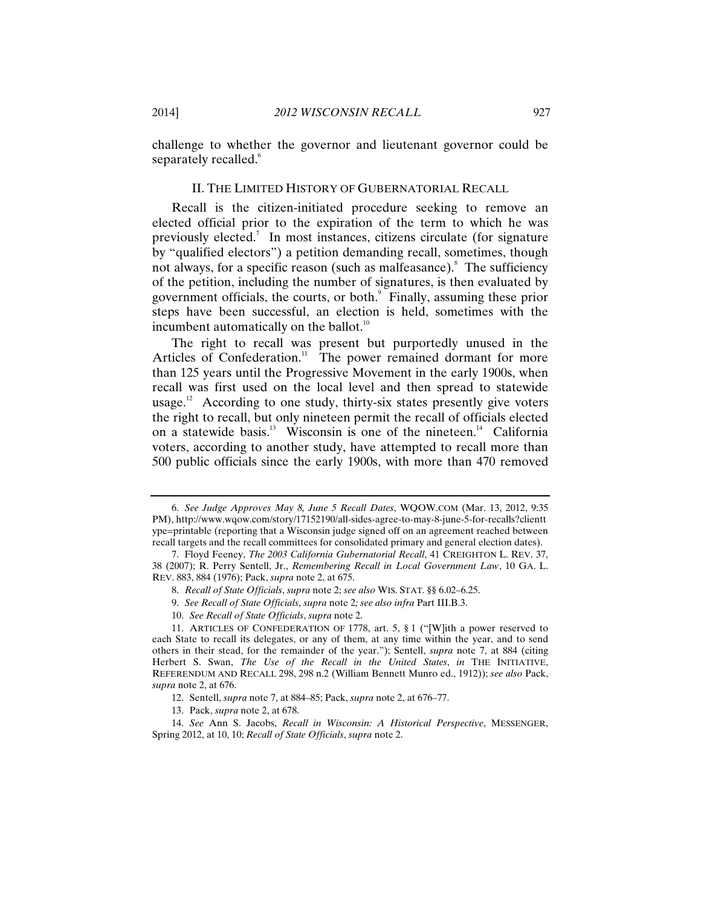challenge to whether the governor and lieutenant governor could be separately recalled.<sup>6</sup>

#### II. THE LIMITED HISTORY OF GUBERNATORIAL RECALL

Recall is the citizen-initiated procedure seeking to remove an elected official prior to the expiration of the term to which he was previously elected.<sup>7</sup> In most instances, citizens circulate (for signature by "qualified electors") a petition demanding recall, sometimes, though not always, for a specific reason (such as malfeasance).<sup>8</sup> The sufficiency of the petition, including the number of signatures, is then evaluated by government officials, the courts, or both.<sup>9</sup> Finally, assuming these prior steps have been successful, an election is held, sometimes with the incumbent automatically on the ballot. $10$ 

The right to recall was present but purportedly unused in the Articles of Confederation.<sup>11</sup> The power remained dormant for more than 125 years until the Progressive Movement in the early 1900s, when recall was first used on the local level and then spread to statewide usage.<sup>12</sup> According to one study, thirty-six states presently give voters the right to recall, but only nineteen permit the recall of officials elected on a statewide basis.<sup>13</sup> Wisconsin is one of the nineteen.<sup>14</sup> California voters, according to another study, have attempted to recall more than 500 public officials since the early 1900s, with more than 470 removed

<sup>6.</sup> *See Judge Approves May 8, June 5 Recall Dates*, WQOW.COM (Mar. 13, 2012, 9:35 PM), http://www.wqow.com/story/17152190/all-sides-agree-to-may-8-june-5-for-recalls?clientt ype=printable (reporting that a Wisconsin judge signed off on an agreement reached between recall targets and the recall committees for consolidated primary and general election dates).

<sup>7.</sup> Floyd Feeney, *The 2003 California Gubernatorial Recall*, 41 CREIGHTON L. REV. 37, 38 (2007); R. Perry Sentell, Jr., *Remembering Recall in Local Government Law*, 10 GA. L. REV. 883, 884 (1976); Pack, *supra* note 2, at 675.

<sup>8.</sup> *Recall of State Officials*, *supra* note 2; *see also* WIS. STAT. §§ 6.02–6.25.

<sup>9.</sup> *See Recall of State Officials*, *supra* note 2*; see also infra* Part III.B.3.

<sup>10.</sup> *See Recall of State Officials*, *supra* note 2.

<sup>11.</sup> ARTICLES OF CONFEDERATION OF 1778, art. 5, § 1 ("[W]ith a power reserved to each State to recall its delegates, or any of them, at any time within the year, and to send others in their stead, for the remainder of the year."); Sentell, *supra* note 7, at 884 (citing Herbert S. Swan, *The Use of the Recall in the United States*, *in* THE INITIATIVE, REFERENDUM AND RECALL 298, 298 n.2 (William Bennett Munro ed., 1912)); *see also* Pack, *supra* note 2, at 676.

<sup>12.</sup> Sentell, *supra* note 7, at 884–85; Pack, *supra* note 2, at 676–77.

<sup>13.</sup> Pack, *supra* note 2, at 678.

<sup>14.</sup> *See* Ann S. Jacobs, *Recall in Wisconsin: A Historical Perspective*, MESSENGER, Spring 2012, at 10, 10; *Recall of State Officials*, *supra* note 2.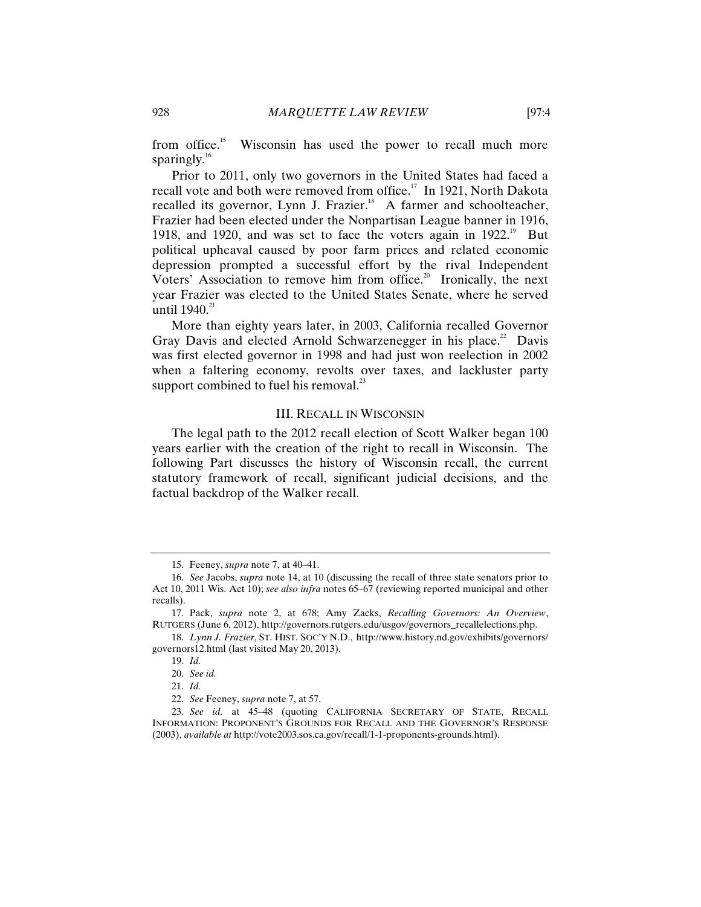from office.<sup>15</sup> Wisconsin has used the power to recall much more sparingly. $16$ 

Prior to 2011, only two governors in the United States had faced a recall vote and both were removed from office.<sup>17</sup> In 1921, North Dakota recalled its governor, Lynn J. Frazier.<sup>18</sup> A farmer and schoolteacher, Frazier had been elected under the Nonpartisan League banner in 1916, 1918, and 1920, and was set to face the voters again in  $1922.^{19}$  But political upheaval caused by poor farm prices and related economic depression prompted a successful effort by the rival Independent Voters' Association to remove him from office.<sup>20</sup> Ironically, the next year Frazier was elected to the United States Senate, where he served until  $1940.^{21}$ 

More than eighty years later, in 2003, California recalled Governor Gray Davis and elected Arnold Schwarzenegger in his place.<sup>22</sup> Davis was first elected governor in 1998 and had just won reelection in 2002 when a faltering economy, revolts over taxes, and lackluster party support combined to fuel his removal. $^{23}$ 

#### III. RECALL IN WISCONSIN

The legal path to the 2012 recall election of Scott Walker began 100 years earlier with the creation of the right to recall in Wisconsin. The following Part discusses the history of Wisconsin recall, the current statutory framework of recall, significant judicial decisions, and the factual backdrop of the Walker recall.

<sup>15.</sup> Feeney, *supra* note 7, at 40–41.

<sup>16.</sup> *See* Jacobs, *supra* note 14, at 10 (discussing the recall of three state senators prior to Act 10, 2011 Wis. Act 10); *see also infra* notes 65–67 (reviewing reported municipal and other recalls).

<sup>17.</sup> Pack, *supra* note 2, at 678; Amy Zacks, *Recalling Governors: An Overview*, RUTGERS (June 6, 2012), http://governors.rutgers.edu/usgov/governors\_recallelections.php.

<sup>18.</sup> *Lynn J. Frazier*, ST. HIST. SOC'Y N.D., http://www.history.nd.gov/exhibits/governors/ governors12.html (last visited May 20, 2013).

<sup>19.</sup> *Id.*

<sup>20.</sup> *See id.*

<sup>21.</sup> *Id.*

<sup>22.</sup> *See* Feeney, *supra* note 7, at 57.

<sup>23.</sup> *See id.* at 45–48 (quoting CALIFORNIA SECRETARY OF STATE, RECALL INFORMATION: PROPONENT'S GROUNDS FOR RECALL AND THE GOVERNOR'S RESPONSE (2003), *available at* http://vote2003.sos.ca.gov/recall/1-1-proponents-grounds.html).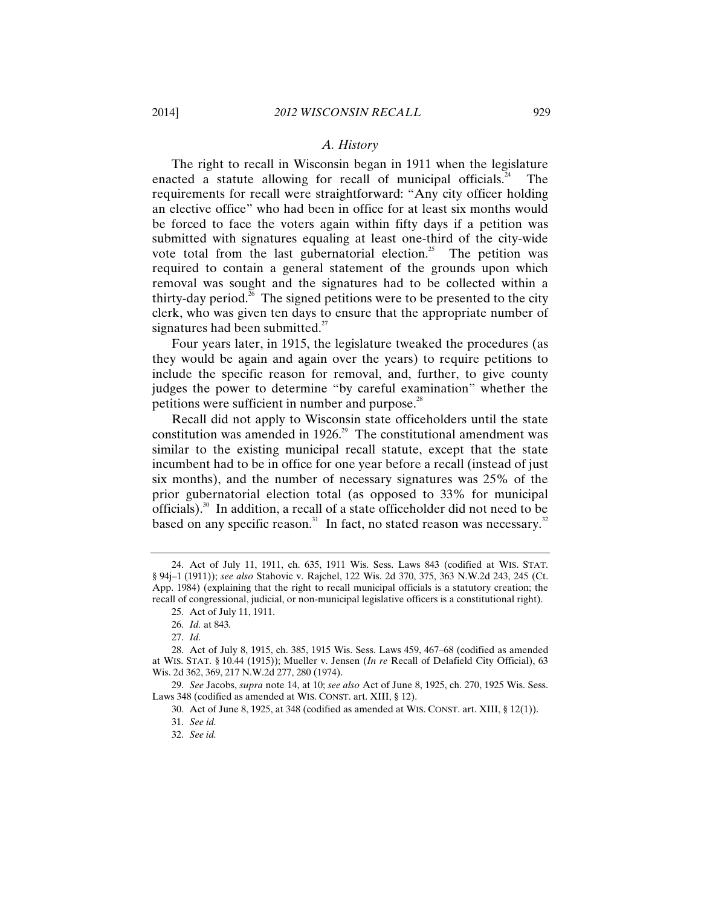#### *A. History*

The right to recall in Wisconsin began in 1911 when the legislature enacted a statute allowing for recall of municipal officials.<sup>24</sup> The requirements for recall were straightforward: "Any city officer holding an elective office" who had been in office for at least six months would be forced to face the voters again within fifty days if a petition was submitted with signatures equaling at least one-third of the city-wide vote total from the last gubernatorial election.<sup>25</sup> The petition was required to contain a general statement of the grounds upon which removal was sought and the signatures had to be collected within a thirty-day period.<sup>26</sup> The signed petitions were to be presented to the city clerk, who was given ten days to ensure that the appropriate number of signatures had been submitted. $^{27}$ 

Four years later, in 1915, the legislature tweaked the procedures (as they would be again and again over the years) to require petitions to include the specific reason for removal, and, further, to give county judges the power to determine "by careful examination" whether the petitions were sufficient in number and purpose. $28$ 

Recall did not apply to Wisconsin state officeholders until the state constitution was amended in 1926.<sup>29</sup> The constitutional amendment was similar to the existing municipal recall statute, except that the state incumbent had to be in office for one year before a recall (instead of just six months), and the number of necessary signatures was 25% of the prior gubernatorial election total (as opposed to 33% for municipal officials).<sup>30</sup> In addition, a recall of a state officeholder did not need to be based on any specific reason.<sup>31</sup> In fact, no stated reason was necessary.<sup>32</sup>

<sup>24.</sup> Act of July 11, 1911, ch. 635, 1911 Wis. Sess. Laws 843 (codified at WIS. STAT. § 94j–1 (1911)); *see also* Stahovic v. Rajchel, 122 Wis. 2d 370, 375, 363 N.W.2d 243, 245 (Ct. App. 1984) (explaining that the right to recall municipal officials is a statutory creation; the recall of congressional, judicial, or non-municipal legislative officers is a constitutional right).

<sup>25.</sup> Act of July 11, 1911.

<sup>26.</sup> *Id.* at 843*.*

<sup>27.</sup> *Id.*

<sup>28.</sup> Act of July 8, 1915, ch. 385, 1915 Wis. Sess. Laws 459, 467–68 (codified as amended at WIS. STAT. § 10.44 (1915)); Mueller v. Jensen (*In re* Recall of Delafield City Official), 63 Wis. 2d 362, 369, 217 N.W.2d 277, 280 (1974).

<sup>29.</sup> *See* Jacobs, *supra* note 14, at 10; *see also* Act of June 8, 1925, ch. 270, 1925 Wis. Sess. Laws 348 (codified as amended at WIS. CONST. art. XIII, § 12).

<sup>30.</sup> Act of June 8, 1925, at 348 (codified as amended at WIS. CONST. art. XIII, § 12(1)).

<sup>31.</sup> *See id.*

<sup>32.</sup> *See id.*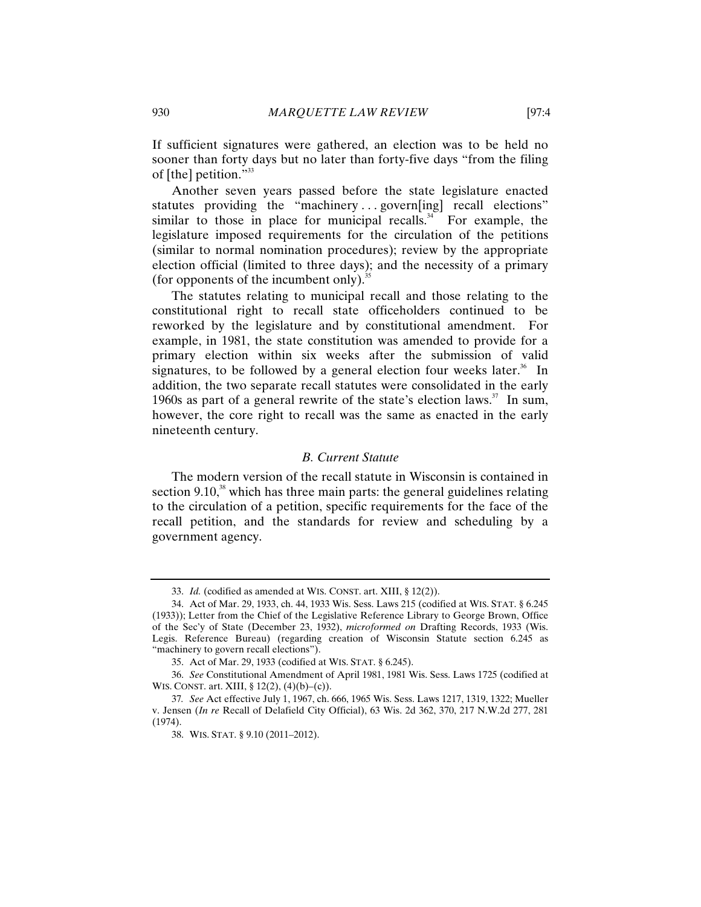If sufficient signatures were gathered, an election was to be held no sooner than forty days but no later than forty-five days "from the filing of [the] petition."<sup>33</sup>

Another seven years passed before the state legislature enacted statutes providing the "machinery ... govern[ing] recall elections" similar to those in place for municipal recalls.<sup>34</sup> For example, the legislature imposed requirements for the circulation of the petitions (similar to normal nomination procedures); review by the appropriate election official (limited to three days); and the necessity of a primary (for opponents of the incumbent only). $35$ 

The statutes relating to municipal recall and those relating to the constitutional right to recall state officeholders continued to be reworked by the legislature and by constitutional amendment. For example, in 1981, the state constitution was amended to provide for a primary election within six weeks after the submission of valid signatures, to be followed by a general election four weeks later.<sup>36</sup> In addition, the two separate recall statutes were consolidated in the early 1960s as part of a general rewrite of the state's election laws.<sup>37</sup> In sum, however, the core right to recall was the same as enacted in the early nineteenth century.

#### *B. Current Statute*

The modern version of the recall statute in Wisconsin is contained in section 9.10, $38$  which has three main parts: the general guidelines relating to the circulation of a petition, specific requirements for the face of the recall petition, and the standards for review and scheduling by a government agency.

<sup>33.</sup> *Id.* (codified as amended at WIS. CONST. art. XIII, § 12(2)).

<sup>34.</sup> Act of Mar. 29, 1933, ch. 44, 1933 Wis. Sess. Laws 215 (codified at WIS. STAT. § 6.245 (1933)); Letter from the Chief of the Legislative Reference Library to George Brown, Office of the Sec'y of State (December 23, 1932), *microformed on* Drafting Records, 1933 (Wis. Legis. Reference Bureau) (regarding creation of Wisconsin Statute section 6.245 as "machinery to govern recall elections").

<sup>35.</sup> Act of Mar. 29, 1933 (codified at WIS. STAT. § 6.245).

<sup>36.</sup> *See* Constitutional Amendment of April 1981, 1981 Wis. Sess. Laws 1725 (codified at WIS. CONST. art. XIII, § 12(2), (4)(b)–(c)).

<sup>37</sup>*. See* Act effective July 1, 1967, ch. 666, 1965 Wis. Sess. Laws 1217, 1319, 1322; Mueller v. Jensen (*In re* Recall of Delafield City Official), 63 Wis. 2d 362, 370, 217 N.W.2d 277, 281 (1974).

<sup>38.</sup> WIS. STAT. § 9.10 (2011–2012).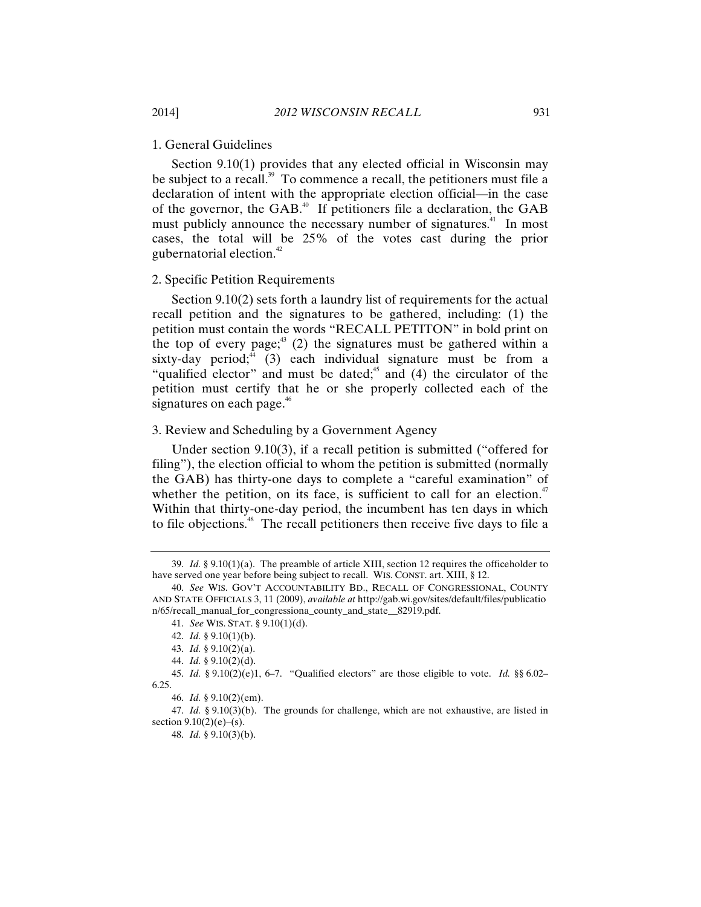#### 1. General Guidelines

Section 9.10(1) provides that any elected official in Wisconsin may be subject to a recall.<sup>39</sup> To commence a recall, the petitioners must file a declaration of intent with the appropriate election official—in the case of the governor, the GAB.<sup>40</sup> If petitioners file a declaration, the GAB must publicly announce the necessary number of signatures.<sup>41</sup> In most cases, the total will be 25% of the votes cast during the prior gubernatorial election.42

#### 2. Specific Petition Requirements

Section 9.10(2) sets forth a laundry list of requirements for the actual recall petition and the signatures to be gathered, including: (1) the petition must contain the words "RECALL PETITON" in bold print on the top of every page; $43$  (2) the signatures must be gathered within a sixty-day period; $4(3)$  each individual signature must be from a "qualified elector" and must be dated;<sup>45</sup> and (4) the circulator of the petition must certify that he or she properly collected each of the signatures on each page.<sup>46</sup>

#### 3. Review and Scheduling by a Government Agency

Under section 9.10(3), if a recall petition is submitted ("offered for filing"), the election official to whom the petition is submitted (normally the GAB) has thirty-one days to complete a "careful examination" of whether the petition, on its face, is sufficient to call for an election.<sup> $47$ </sup> Within that thirty-one-day period, the incumbent has ten days in which to file objections.<sup>48</sup> The recall petitioners then receive five days to file a

<sup>39.</sup> *Id.* § 9.10(1)(a). The preamble of article XIII, section 12 requires the officeholder to have served one year before being subject to recall. WIS. CONST. art. XIII, § 12.

<sup>40.</sup> *See* WIS. GOV'T ACCOUNTABILITY BD., RECALL OF CONGRESSIONAL, COUNTY AND STATE OFFICIALS 3, 11 (2009), *available at* http://gab.wi.gov/sites/default/files/publicatio n/65/recall\_manual\_for\_congressiona\_county\_and\_state\_\_82919.pdf.

<sup>41.</sup> *See* WIS. STAT. § 9.10(1)(d).

<sup>42.</sup> *Id.* § 9.10(1)(b).

<sup>43.</sup> *Id.* § 9.10(2)(a).

<sup>44.</sup> *Id.* § 9.10(2)(d).

<sup>45.</sup> *Id.* § 9.10(2)(e)1, 6–7. "Qualified electors" are those eligible to vote. *Id.* §§ 6.02– 6.25.

<sup>46.</sup> *Id.* § 9.10(2)(em).

<sup>47.</sup> *Id.* § 9.10(3)(b). The grounds for challenge, which are not exhaustive, are listed in section  $9.10(2)(e)$ –(s).

<sup>48.</sup> *Id.* § 9.10(3)(b).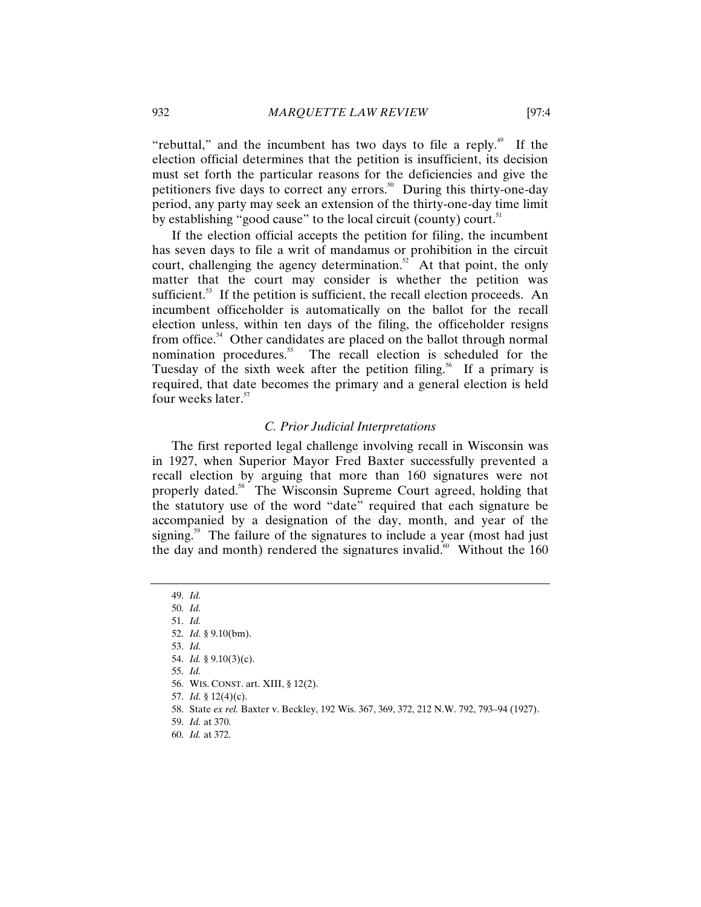"rebuttal," and the incumbent has two days to file a reply.<sup>49</sup> If the election official determines that the petition is insufficient, its decision must set forth the particular reasons for the deficiencies and give the petitioners five days to correct any errors.<sup>50</sup> During this thirty-one-day period, any party may seek an extension of the thirty-one-day time limit by establishing "good cause" to the local circuit (county) court.<sup>51</sup>

If the election official accepts the petition for filing, the incumbent has seven days to file a writ of mandamus or prohibition in the circuit court, challenging the agency determination.<sup>52</sup> At that point, the only matter that the court may consider is whether the petition was sufficient.<sup>53</sup> If the petition is sufficient, the recall election proceeds. An incumbent officeholder is automatically on the ballot for the recall election unless, within ten days of the filing, the officeholder resigns from office.<sup>54</sup> Other candidates are placed on the ballot through normal nomination procedures.<sup>55</sup> The recall election is scheduled for the Tuesday of the sixth week after the petition filing.<sup>56</sup> If a primary is required, that date becomes the primary and a general election is held four weeks later.<sup>57</sup>

#### *C. Prior Judicial Interpretations*

The first reported legal challenge involving recall in Wisconsin was in 1927, when Superior Mayor Fred Baxter successfully prevented a recall election by arguing that more than 160 signatures were not properly dated.<sup>58</sup> The Wisconsin Supreme Court agreed, holding that the statutory use of the word "date" required that each signature be accompanied by a designation of the day, month, and year of the signing.<sup>59</sup> The failure of the signatures to include a year (most had just the day and month) rendered the signatures invalid.<sup>60</sup> Without the  $160$ 

- 57. *Id.* § 12(4)(c).
- 58. State *ex rel.* Baxter v. Beckley, 192 Wis. 367, 369, 372, 212 N.W. 792, 793–94 (1927).
- 59. *Id.* at 370.
- 60. *Id.* at 372.

<sup>49.</sup> *Id.*

<sup>50.</sup> *Id.*

<sup>51.</sup> *Id.*

<sup>52.</sup> *Id.* § 9.10(bm).

<sup>53.</sup> *Id.* 54. *Id.* § 9.10(3)(c).

<sup>55.</sup> *Id.*

<sup>56.</sup> WIS. CONST. art. XIII, § 12(2).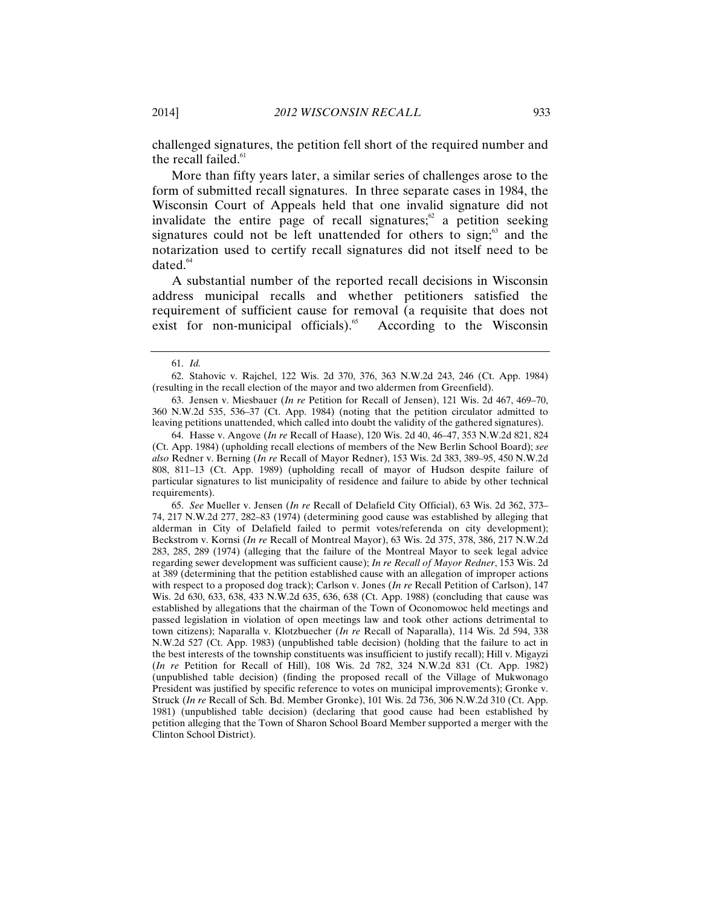challenged signatures, the petition fell short of the required number and the recall failed.<sup>61</sup>

More than fifty years later, a similar series of challenges arose to the form of submitted recall signatures. In three separate cases in 1984, the Wisconsin Court of Appeals held that one invalid signature did not invalidate the entire page of recall signatures; $\alpha$  a petition seeking signatures could not be left unattended for others to sign; $63$  and the notarization used to certify recall signatures did not itself need to be dated. $64$ 

A substantial number of the reported recall decisions in Wisconsin address municipal recalls and whether petitioners satisfied the requirement of sufficient cause for removal (a requisite that does not exist for non-municipal officials). $65$  According to the Wisconsin

64. Hasse v. Angove (*In re* Recall of Haase), 120 Wis. 2d 40, 46–47, 353 N.W.2d 821, 824 (Ct. App. 1984) (upholding recall elections of members of the New Berlin School Board); *see also* Redner v. Berning (*In re* Recall of Mayor Redner), 153 Wis. 2d 383, 389–95, 450 N.W.2d 808, 811–13 (Ct. App. 1989) (upholding recall of mayor of Hudson despite failure of particular signatures to list municipality of residence and failure to abide by other technical requirements).

65. *See* Mueller v. Jensen (*In re* Recall of Delafield City Official), 63 Wis. 2d 362, 373– 74, 217 N.W.2d 277, 282–83 (1974) (determining good cause was established by alleging that alderman in City of Delafield failed to permit votes/referenda on city development); Beckstrom v. Kornsi (*In re* Recall of Montreal Mayor), 63 Wis. 2d 375, 378, 386, 217 N.W.2d 283, 285, 289 (1974) (alleging that the failure of the Montreal Mayor to seek legal advice regarding sewer development was sufficient cause); *In re Recall of Mayor Redner*, 153 Wis. 2d at 389 (determining that the petition established cause with an allegation of improper actions with respect to a proposed dog track); Carlson v. Jones (*In re* Recall Petition of Carlson), 147 Wis. 2d 630, 633, 638, 433 N.W.2d 635, 636, 638 (Ct. App. 1988) (concluding that cause was established by allegations that the chairman of the Town of Oconomowoc held meetings and passed legislation in violation of open meetings law and took other actions detrimental to town citizens); Naparalla v. Klotzbuecher (*In re* Recall of Naparalla), 114 Wis. 2d 594, 338 N.W.2d 527 (Ct. App. 1983) (unpublished table decision) (holding that the failure to act in the best interests of the township constituents was insufficient to justify recall); Hill v. Migayzi (*In re* Petition for Recall of Hill), 108 Wis. 2d 782, 324 N.W.2d 831 (Ct. App. 1982) (unpublished table decision) (finding the proposed recall of the Village of Mukwonago President was justified by specific reference to votes on municipal improvements); Gronke v. Struck (*In re* Recall of Sch. Bd. Member Gronke), 101 Wis. 2d 736, 306 N.W.2d 310 (Ct. App. 1981) (unpublished table decision) (declaring that good cause had been established by petition alleging that the Town of Sharon School Board Member supported a merger with the Clinton School District).

<sup>61.</sup> *Id.*

<sup>62.</sup> Stahovic v. Rajchel, 122 Wis. 2d 370, 376, 363 N.W.2d 243, 246 (Ct. App. 1984) (resulting in the recall election of the mayor and two aldermen from Greenfield).

<sup>63.</sup> Jensen v. Miesbauer (*In re* Petition for Recall of Jensen), 121 Wis. 2d 467, 469–70, 360 N.W.2d 535, 536–37 (Ct. App. 1984) (noting that the petition circulator admitted to leaving petitions unattended, which called into doubt the validity of the gathered signatures).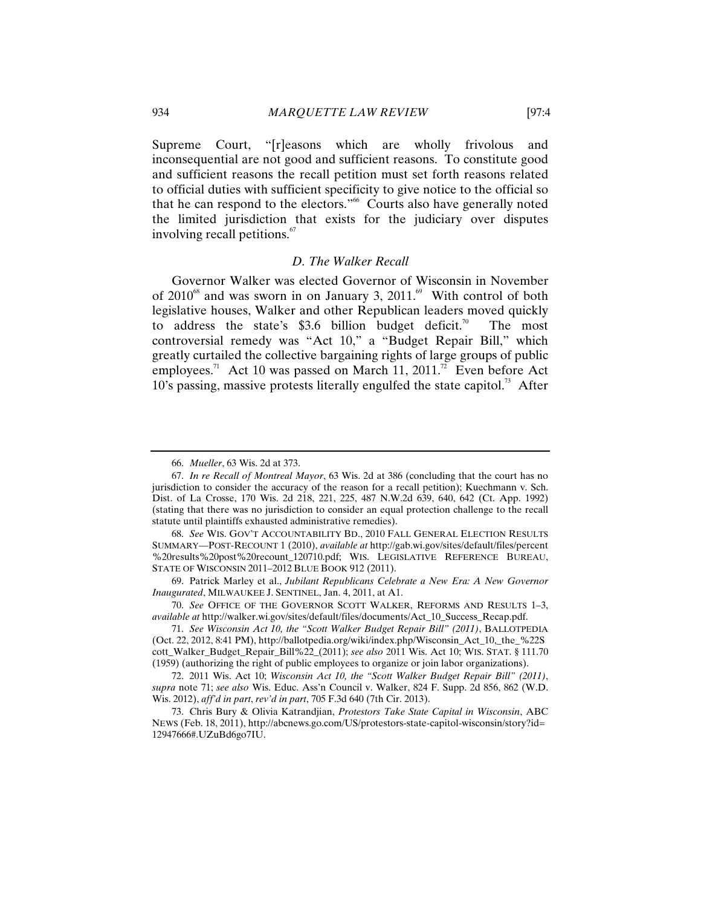Supreme Court, "[r]easons which are wholly frivolous and inconsequential are not good and sufficient reasons. To constitute good and sufficient reasons the recall petition must set forth reasons related to official duties with sufficient specificity to give notice to the official so that he can respond to the electors."<sup>66</sup> Courts also have generally noted the limited jurisdiction that exists for the judiciary over disputes involving recall petitions.<sup>67</sup>

#### *D. The Walker Recall*

Governor Walker was elected Governor of Wisconsin in November of  $2010^{68}$  and was sworn in on January 3,  $2011^{69}$  With control of both legislative houses, Walker and other Republican leaders moved quickly to address the state's  $$3.6$  billion budget deficit.<sup>70</sup> The most controversial remedy was "Act 10," a "Budget Repair Bill," which greatly curtailed the collective bargaining rights of large groups of public employees.<sup>71</sup> Act 10 was passed on March 11, 2011.<sup>72</sup> Even before Act  $10$ 's passing, massive protests literally engulfed the state capitol.<sup>73</sup> After

<sup>66.</sup> *Mueller*, 63 Wis. 2d at 373.

<sup>67.</sup> *In re Recall of Montreal Mayor*, 63 Wis. 2d at 386 (concluding that the court has no jurisdiction to consider the accuracy of the reason for a recall petition); Kuechmann v. Sch. Dist. of La Crosse, 170 Wis. 2d 218, 221, 225, 487 N.W.2d 639, 640, 642 (Ct. App. 1992) (stating that there was no jurisdiction to consider an equal protection challenge to the recall statute until plaintiffs exhausted administrative remedies).

<sup>68.</sup> *See* WIS. GOV'T ACCOUNTABILITY BD., 2010 FALL GENERAL ELECTION RESULTS SUMMARY—POST-RECOUNT 1 (2010), *available at* http://gab.wi.gov/sites/default/files/percent %20results%20post%20recount\_120710.pdf; WIS. LEGISLATIVE REFERENCE BUREAU, STATE OF WISCONSIN 2011–2012 BLUE BOOK 912 (2011).

<sup>69.</sup> Patrick Marley et al., *Jubilant Republicans Celebrate a New Era: A New Governor Inaugurated*, MILWAUKEE J. SENTINEL, Jan. 4, 2011, at A1.

<sup>70.</sup> *See* OFFICE OF THE GOVERNOR SCOTT WALKER, REFORMS AND RESULTS 1–3, *available at* http://walker.wi.gov/sites/default/files/documents/Act\_10\_Success\_Recap.pdf.

<sup>71.</sup> *See Wisconsin Act 10, the "Scott Walker Budget Repair Bill" (2011)*, BALLOTPEDIA (Oct. 22, 2012, 8:41 PM), http://ballotpedia.org/wiki/index.php/Wisconsin\_Act\_10,\_the\_%22S cott\_Walker\_Budget\_Repair\_Bill%22\_(2011); *see also* 2011 Wis. Act 10; WIS. STAT. § 111.70 (1959) (authorizing the right of public employees to organize or join labor organizations).

<sup>72. 2011</sup> Wis. Act 10; *Wisconsin Act 10, the "Scott Walker Budget Repair Bill" (2011)*, *supra* note 71; *see also* Wis. Educ. Ass'n Council v. Walker, 824 F. Supp. 2d 856, 862 (W.D. Wis. 2012), *aff'd in part*, *rev'd in part*, 705 F.3d 640 (7th Cir. 2013).

<sup>73.</sup> Chris Bury & Olivia Katrandjian, *Protestors Take State Capital in Wisconsin*, ABC NEWS (Feb. 18, 2011), http://abcnews.go.com/US/protestors-state-capitol-wisconsin/story?id= 12947666#.UZuBd6go7IU.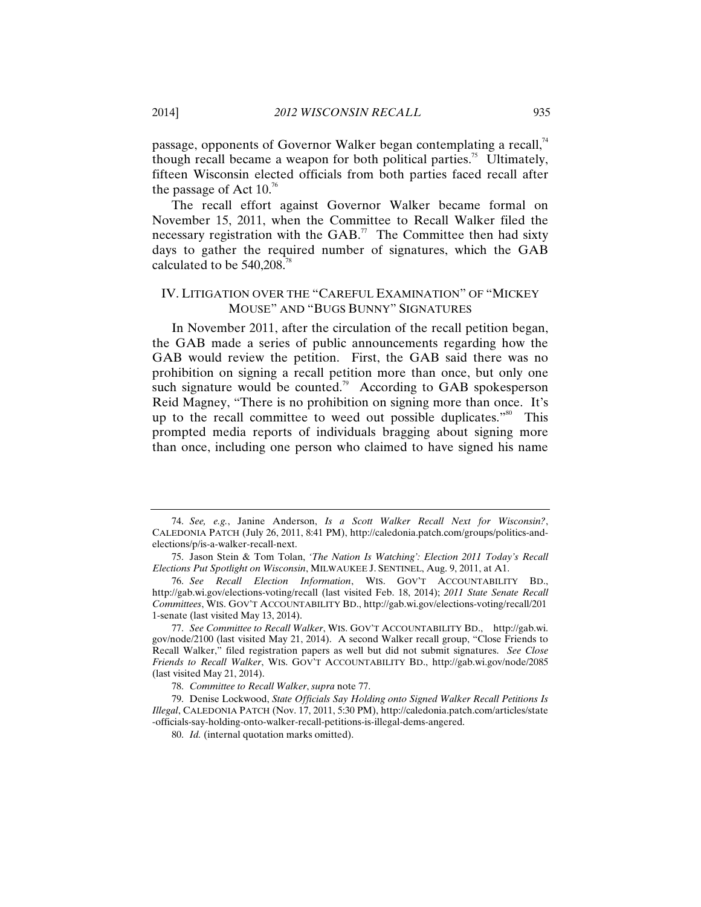passage, opponents of Governor Walker began contemplating a recall,<sup>74</sup> though recall became a weapon for both political parties.<sup>75</sup> Ultimately, fifteen Wisconsin elected officials from both parties faced recall after the passage of Act  $10^{76}$ 

The recall effort against Governor Walker became formal on November 15, 2011, when the Committee to Recall Walker filed the necessary registration with the GAB.<sup>77</sup> The Committee then had sixty days to gather the required number of signatures, which the GAB calculated to be  $540,208$ .<sup>78</sup>

#### IV. LITIGATION OVER THE "CAREFUL EXAMINATION" OF "MICKEY MOUSE" AND "BUGS BUNNY" SIGNATURES

In November 2011, after the circulation of the recall petition began, the GAB made a series of public announcements regarding how the GAB would review the petition. First, the GAB said there was no prohibition on signing a recall petition more than once, but only one such signature would be counted.<sup>79</sup> According to GAB spokesperson Reid Magney, "There is no prohibition on signing more than once. It's up to the recall committee to weed out possible duplicates. $\frac{1}{80}$  This prompted media reports of individuals bragging about signing more than once, including one person who claimed to have signed his name

<sup>74.</sup> *See, e.g.*, Janine Anderson, *Is a Scott Walker Recall Next for Wisconsin?*, CALEDONIA PATCH (July 26, 2011, 8:41 PM), http://caledonia.patch.com/groups/politics-andelections/p/is-a-walker-recall-next.

<sup>75.</sup> Jason Stein & Tom Tolan, *'The Nation Is Watching': Election 2011 Today's Recall Elections Put Spotlight on Wisconsin*, MILWAUKEE J. SENTINEL, Aug. 9, 2011, at A1.

<sup>76.</sup> *See Recall Election Information*, WIS. GOV'T ACCOUNTABILITY BD., http://gab.wi.gov/elections-voting/recall (last visited Feb. 18, 2014); *2011 State Senate Recall Committees*, WIS. GOV'T ACCOUNTABILITY BD., http://gab.wi.gov/elections-voting/recall/201 1-senate (last visited May 13, 2014).

<sup>77.</sup> *See Committee to Recall Walker*, WIS. GOV'T ACCOUNTABILITY BD., http://gab.wi. gov/node/2100 (last visited May 21, 2014). A second Walker recall group, "Close Friends to Recall Walker," filed registration papers as well but did not submit signatures. *See Close Friends to Recall Walker*, WIS. GOV'T ACCOUNTABILITY BD., http://gab.wi.gov/node/2085 (last visited May 21, 2014).

<sup>78.</sup> *Committee to Recall Walker*, *supra* note 77.

<sup>79.</sup> Denise Lockwood, *State Officials Say Holding onto Signed Walker Recall Petitions Is Illegal*, CALEDONIA PATCH (Nov. 17, 2011, 5:30 PM), http://caledonia.patch.com/articles/state -officials-say-holding-onto-walker-recall-petitions-is-illegal-dems-angered.

<sup>80.</sup> *Id.* (internal quotation marks omitted).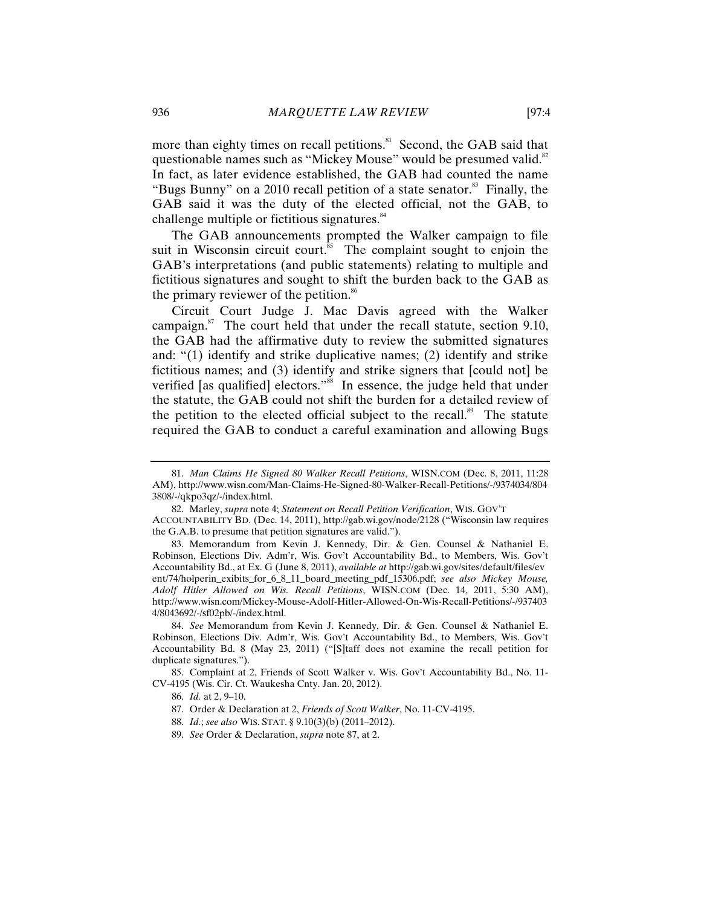more than eighty times on recall petitions.<sup>81</sup> Second, the GAB said that questionable names such as "Mickey Mouse" would be presumed valid. $82$ In fact, as later evidence established, the GAB had counted the name "Bugs Bunny" on a 2010 recall petition of a state senator. $83$  Finally, the GAB said it was the duty of the elected official, not the GAB, to challenge multiple or fictitious signatures.<sup>84</sup>

The GAB announcements prompted the Walker campaign to file suit in Wisconsin circuit court. $\frac{85}{10}$  The complaint sought to enjoin the GAB's interpretations (and public statements) relating to multiple and fictitious signatures and sought to shift the burden back to the GAB as the primary reviewer of the petition.<sup>86</sup>

Circuit Court Judge J. Mac Davis agreed with the Walker campaign. $87$  The court held that under the recall statute, section 9.10, the GAB had the affirmative duty to review the submitted signatures and: "(1) identify and strike duplicative names; (2) identify and strike fictitious names; and (3) identify and strike signers that [could not] be verified [as qualified] electors."<sup>88</sup> In essence, the judge held that under the statute, the GAB could not shift the burden for a detailed review of the petition to the elected official subject to the recall.<sup>89</sup> The statute required the GAB to conduct a careful examination and allowing Bugs

<sup>81.</sup> *Man Claims He Signed 80 Walker Recall Petitions*, WISN.COM (Dec. 8, 2011, 11:28 AM), http://www.wisn.com/Man-Claims-He-Signed-80-Walker-Recall-Petitions/-/9374034/804 3808/-/qkpo3qz/-/index.html.

<sup>82.</sup> Marley, *supra* note 4; *Statement on Recall Petition Verification*, WIS. GOV'T

ACCOUNTABILITY BD. (Dec. 14, 2011), http://gab.wi.gov/node/2128 ("Wisconsin law requires the G.A.B. to presume that petition signatures are valid.").

<sup>83.</sup> Memorandum from Kevin J. Kennedy, Dir. & Gen. Counsel & Nathaniel E. Robinson, Elections Div. Adm'r, Wis. Gov't Accountability Bd., to Members, Wis. Gov't Accountability Bd., at Ex. G (June 8, 2011), *available at* http://gab.wi.gov/sites/default/files/ev ent/74/holperin\_exibits\_for\_6\_8\_11\_board\_meeting\_pdf\_15306.pdf; *see also Mickey Mouse, Adolf Hitler Allowed on Wis. Recall Petitions*, WISN.COM (Dec. 14, 2011, 5:30 AM), http://www.wisn.com/Mickey-Mouse-Adolf-Hitler-Allowed-On-Wis-Recall-Petitions/-/937403 4/8043692/-/sf02pb/-/index.html.

<sup>84.</sup> *See* Memorandum from Kevin J. Kennedy, Dir. & Gen. Counsel & Nathaniel E. Robinson, Elections Div. Adm'r, Wis. Gov't Accountability Bd., to Members, Wis. Gov't Accountability Bd. 8 (May 23, 2011) ("[S]taff does not examine the recall petition for duplicate signatures.").

<sup>85.</sup> Complaint at 2, Friends of Scott Walker v. Wis. Gov't Accountability Bd., No. 11- CV-4195 (Wis. Cir. Ct. Waukesha Cnty. Jan. 20, 2012).

<sup>86.</sup> *Id.* at 2, 9–10.

<sup>87.</sup> Order & Declaration at 2, *Friends of Scott Walker*, No. 11-CV-4195.

<sup>88.</sup> *Id.*; *see also* WIS. STAT. § 9.10(3)(b) (2011–2012).

<sup>89.</sup> *See* Order & Declaration, *supra* note 87, at 2.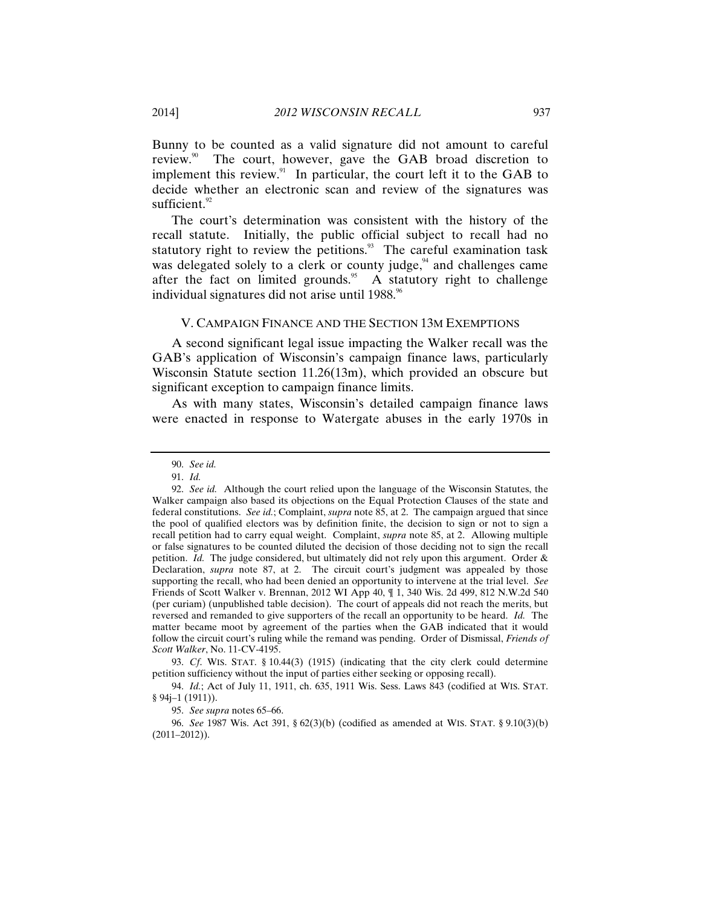Bunny to be counted as a valid signature did not amount to careful review.<sup>90</sup> The court, however, gave the GAB broad discretion to implement this review.<sup>91</sup> In particular, the court left it to the GAB to decide whether an electronic scan and review of the signatures was sufficient.<sup>92</sup>

The court's determination was consistent with the history of the recall statute. Initially, the public official subject to recall had no statutory right to review the petitions.<sup>93</sup> The careful examination task was delegated solely to a clerk or county judge, $94$  and challenges came after the fact on limited grounds.<sup>95</sup> A statutory right to challenge individual signatures did not arise until 1988.<sup>96</sup>

#### V. CAMPAIGN FINANCE AND THE SECTION 13M EXEMPTIONS

A second significant legal issue impacting the Walker recall was the GAB's application of Wisconsin's campaign finance laws, particularly Wisconsin Statute section 11.26(13m), which provided an obscure but significant exception to campaign finance limits.

As with many states, Wisconsin's detailed campaign finance laws were enacted in response to Watergate abuses in the early 1970s in

93. *Cf*. WIS. STAT. § 10.44(3) (1915) (indicating that the city clerk could determine petition sufficiency without the input of parties either seeking or opposing recall).

94. *Id.*; Act of July 11, 1911, ch. 635, 1911 Wis. Sess. Laws 843 (codified at WIS. STAT. § 94j–1 (1911)).

95. *See supra* notes 65–66.

96. *See* 1987 Wis. Act 391, § 62(3)(b) (codified as amended at WIS. STAT. § 9.10(3)(b) (2011–2012)).

<sup>90.</sup> *See id.*

<sup>91.</sup> *Id.*

<sup>92.</sup> *See id.* Although the court relied upon the language of the Wisconsin Statutes, the Walker campaign also based its objections on the Equal Protection Clauses of the state and federal constitutions. *See id.*; Complaint, *supra* note 85, at 2. The campaign argued that since the pool of qualified electors was by definition finite, the decision to sign or not to sign a recall petition had to carry equal weight. Complaint, *supra* note 85, at 2. Allowing multiple or false signatures to be counted diluted the decision of those deciding not to sign the recall petition. *Id.* The judge considered, but ultimately did not rely upon this argument. Order & Declaration, *supra* note 87, at 2. The circuit court's judgment was appealed by those supporting the recall, who had been denied an opportunity to intervene at the trial level. *See* Friends of Scott Walker v. Brennan, 2012 WI App 40, ¶ 1, 340 Wis. 2d 499, 812 N.W.2d 540 (per curiam) (unpublished table decision). The court of appeals did not reach the merits, but reversed and remanded to give supporters of the recall an opportunity to be heard. *Id.* The matter became moot by agreement of the parties when the GAB indicated that it would follow the circuit court's ruling while the remand was pending. Order of Dismissal, *Friends of Scott Walker*, No. 11-CV-4195.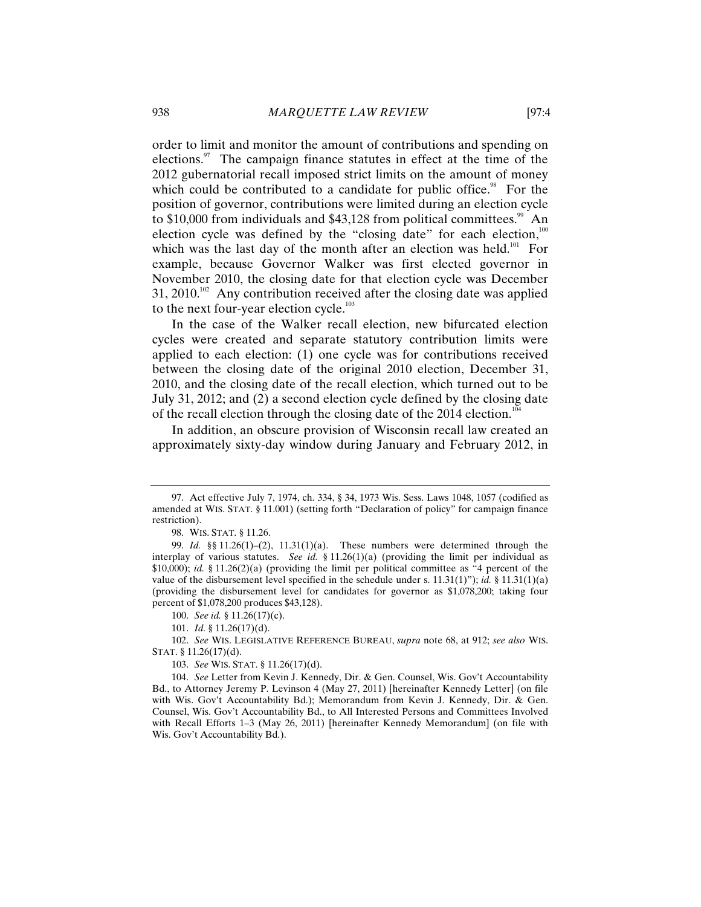order to limit and monitor the amount of contributions and spending on elections. $\frac{97}{10}$  The campaign finance statutes in effect at the time of the 2012 gubernatorial recall imposed strict limits on the amount of money which could be contributed to a candidate for public office.<sup>98</sup> For the position of governor, contributions were limited during an election cycle to  $$10,000$  from individuals and  $$43,128$  from political committees.<sup>99</sup> An election cycle was defined by the "closing date" for each election, $100$ which was the last day of the month after an election was held.<sup>101</sup> For example, because Governor Walker was first elected governor in November 2010, the closing date for that election cycle was December 31, 2010.<sup>102</sup> Any contribution received after the closing date was applied to the next four-year election cycle. $103$ 

In the case of the Walker recall election, new bifurcated election cycles were created and separate statutory contribution limits were applied to each election: (1) one cycle was for contributions received between the closing date of the original 2010 election, December 31, 2010, and the closing date of the recall election, which turned out to be July 31, 2012; and (2) a second election cycle defined by the closing date of the recall election through the closing date of the 2014 election.<sup>10</sup>

In addition, an obscure provision of Wisconsin recall law created an approximately sixty-day window during January and February 2012, in

<sup>97.</sup> Act effective July 7, 1974, ch. 334, § 34, 1973 Wis. Sess. Laws 1048, 1057 (codified as amended at WIS. STAT. § 11.001) (setting forth "Declaration of policy" for campaign finance restriction).

<sup>98.</sup> WIS. STAT. § 11.26.

<sup>99.</sup> *Id.* §§ 11.26(1)–(2), 11.31(1)(a). These numbers were determined through the interplay of various statutes. *See id.* § 11.26(1)(a) (providing the limit per individual as \$10,000); *id.* § 11.26(2)(a) (providing the limit per political committee as "4 percent of the value of the disbursement level specified in the schedule under s. 11.31(1)"); *id.* § 11.31(1)(a) (providing the disbursement level for candidates for governor as \$1,078,200; taking four percent of \$1,078,200 produces \$43,128).

<sup>100.</sup> *See id.* § 11.26(17)(c).

<sup>101.</sup> *Id.* § 11.26(17)(d).

<sup>102.</sup> *See* WIS. LEGISLATIVE REFERENCE BUREAU, *supra* note 68, at 912; *see also* WIS. STAT. § 11.26(17)(d).

<sup>103.</sup> *See* WIS. STAT. § 11.26(17)(d).

<sup>104.</sup> *See* Letter from Kevin J. Kennedy, Dir. & Gen. Counsel, Wis. Gov't Accountability Bd., to Attorney Jeremy P. Levinson 4 (May 27, 2011) [hereinafter Kennedy Letter] (on file with Wis. Gov't Accountability Bd.); Memorandum from Kevin J. Kennedy, Dir. & Gen. Counsel, Wis. Gov't Accountability Bd., to All Interested Persons and Committees Involved with Recall Efforts 1–3 (May 26, 2011) [hereinafter Kennedy Memorandum] (on file with Wis. Gov't Accountability Bd.).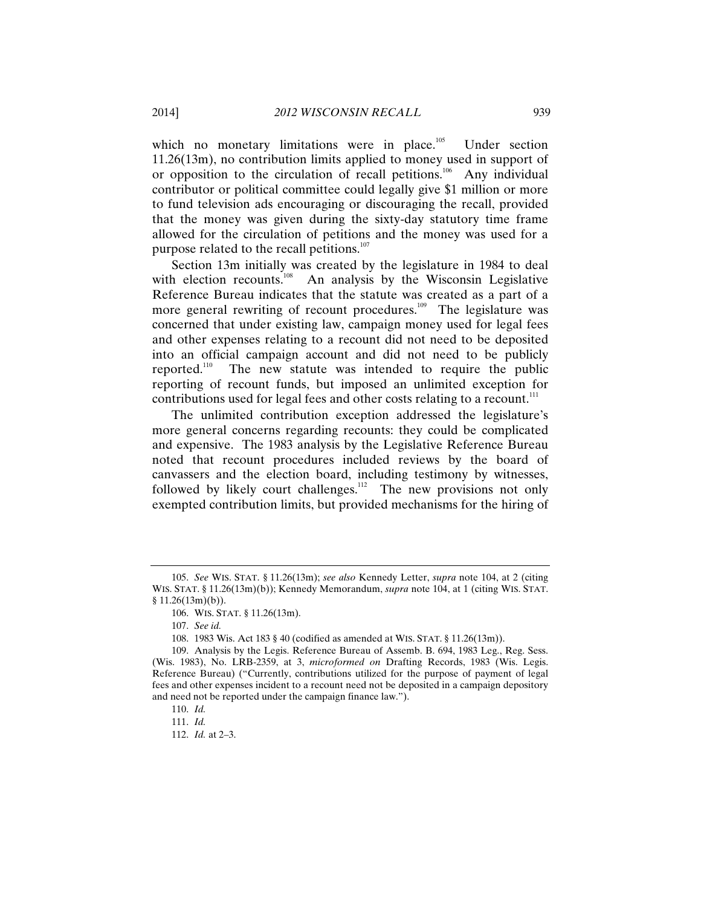which no monetary limitations were in place. $105$  Under section 11.26(13m), no contribution limits applied to money used in support of or opposition to the circulation of recall petitions.<sup>106</sup> Any individual contributor or political committee could legally give \$1 million or more to fund television ads encouraging or discouraging the recall, provided that the money was given during the sixty-day statutory time frame allowed for the circulation of petitions and the money was used for a purpose related to the recall petitions.<sup>107</sup>

Section 13m initially was created by the legislature in 1984 to deal with election recounts.<sup>108</sup> An analysis by the Wisconsin Legislative Reference Bureau indicates that the statute was created as a part of a more general rewriting of recount procedures.<sup>109</sup> The legislature was concerned that under existing law, campaign money used for legal fees and other expenses relating to a recount did not need to be deposited into an official campaign account and did not need to be publicly reported.<sup>110</sup> The new statute was intended to require the public reporting of recount funds, but imposed an unlimited exception for contributions used for legal fees and other costs relating to a recount.<sup>111</sup>

The unlimited contribution exception addressed the legislature's more general concerns regarding recounts: they could be complicated and expensive. The 1983 analysis by the Legislative Reference Bureau noted that recount procedures included reviews by the board of canvassers and the election board, including testimony by witnesses, followed by likely court challenges.<sup>112</sup> The new provisions not only exempted contribution limits, but provided mechanisms for the hiring of

<sup>105.</sup> *See* WIS. STAT. § 11.26(13m); *see also* Kennedy Letter, *supra* note 104, at 2 (citing WIS. STAT. § 11.26(13m)(b)); Kennedy Memorandum, *supra* note 104, at 1 (citing WIS. STAT.  $§ 11.26(13m)(b)).$ 

<sup>106.</sup> WIS. STAT. § 11.26(13m).

<sup>107.</sup> *See id.*

<sup>108. 1983</sup> Wis. Act 183 § 40 (codified as amended at WIS. STAT. § 11.26(13m)).

<sup>109.</sup> Analysis by the Legis. Reference Bureau of Assemb. B. 694, 1983 Leg., Reg. Sess. (Wis. 1983), No. LRB-2359, at 3, *microformed on* Drafting Records, 1983 (Wis. Legis. Reference Bureau) ("Currently, contributions utilized for the purpose of payment of legal fees and other expenses incident to a recount need not be deposited in a campaign depository and need not be reported under the campaign finance law.").

<sup>110.</sup> *Id.*

<sup>111.</sup> *Id.*

<sup>112.</sup> *Id.* at 2–3.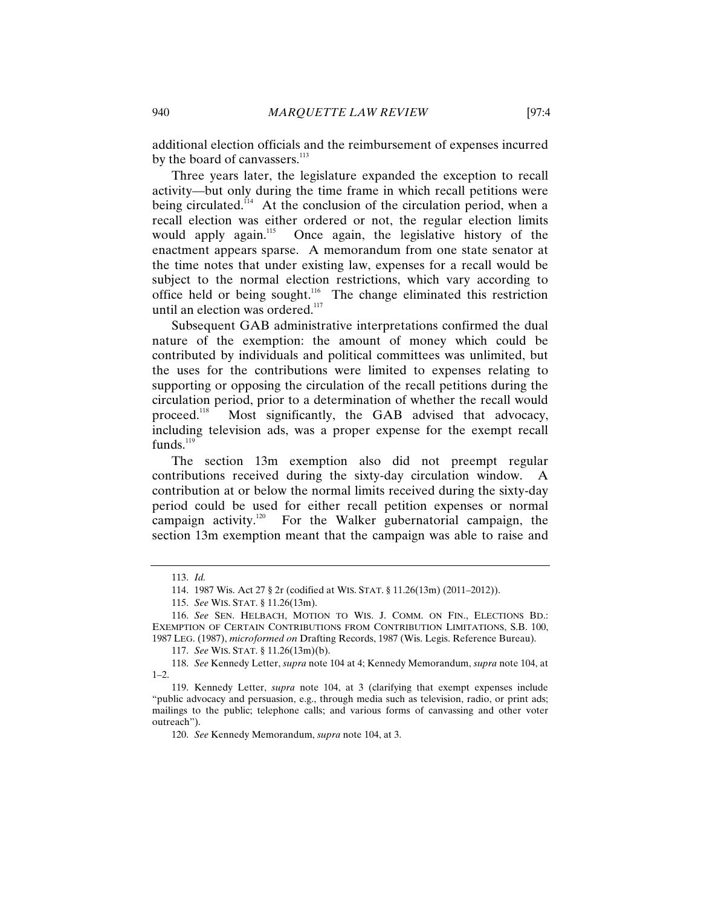additional election officials and the reimbursement of expenses incurred by the board of canvassers. $113$ 

Three years later, the legislature expanded the exception to recall activity—but only during the time frame in which recall petitions were being circulated.<sup>114</sup> At the conclusion of the circulation period, when a recall election was either ordered or not, the regular election limits would apply again.<sup>115</sup> Once again, the legislative history of the enactment appears sparse. A memorandum from one state senator at the time notes that under existing law, expenses for a recall would be subject to the normal election restrictions, which vary according to office held or being sought.<sup>116</sup> The change eliminated this restriction until an election was ordered.<sup>117</sup>

Subsequent GAB administrative interpretations confirmed the dual nature of the exemption: the amount of money which could be contributed by individuals and political committees was unlimited, but the uses for the contributions were limited to expenses relating to supporting or opposing the circulation of the recall petitions during the circulation period, prior to a determination of whether the recall would proceed.<sup>118</sup> Most significantly, the GAB advised that advocacy, including television ads, was a proper expense for the exempt recall funds. $^{119}$ 

The section 13m exemption also did not preempt regular contributions received during the sixty-day circulation window. A contribution at or below the normal limits received during the sixty-day period could be used for either recall petition expenses or normal campaign activity.<sup>120</sup> For the Walker gubernatorial campaign, the section 13m exemption meant that the campaign was able to raise and

<sup>113.</sup> *Id.*

<sup>114. 1987</sup> Wis. Act 27 § 2r (codified at WIS. STAT. § 11.26(13m) (2011–2012)).

<sup>115.</sup> *See* WIS. STAT. § 11.26(13m).

<sup>116.</sup> *See* SEN. HELBACH, MOTION TO WIS. J. COMM. ON FIN., ELECTIONS BD.: EXEMPTION OF CERTAIN CONTRIBUTIONS FROM CONTRIBUTION LIMITATIONS, S.B. 100, 1987 LEG. (1987), *microformed on* Drafting Records, 1987 (Wis. Legis. Reference Bureau).

<sup>117.</sup> *See* WIS. STAT. § 11.26(13m)(b).

<sup>118.</sup> *See* Kennedy Letter, *supra* note 104 at 4; Kennedy Memorandum, *supra* note 104, at  $1-2$ .

<sup>119.</sup> Kennedy Letter, *supra* note 104, at 3 (clarifying that exempt expenses include "public advocacy and persuasion, e.g., through media such as television, radio, or print ads; mailings to the public; telephone calls; and various forms of canvassing and other voter outreach").

<sup>120.</sup> *See* Kennedy Memorandum, *supra* note 104, at 3.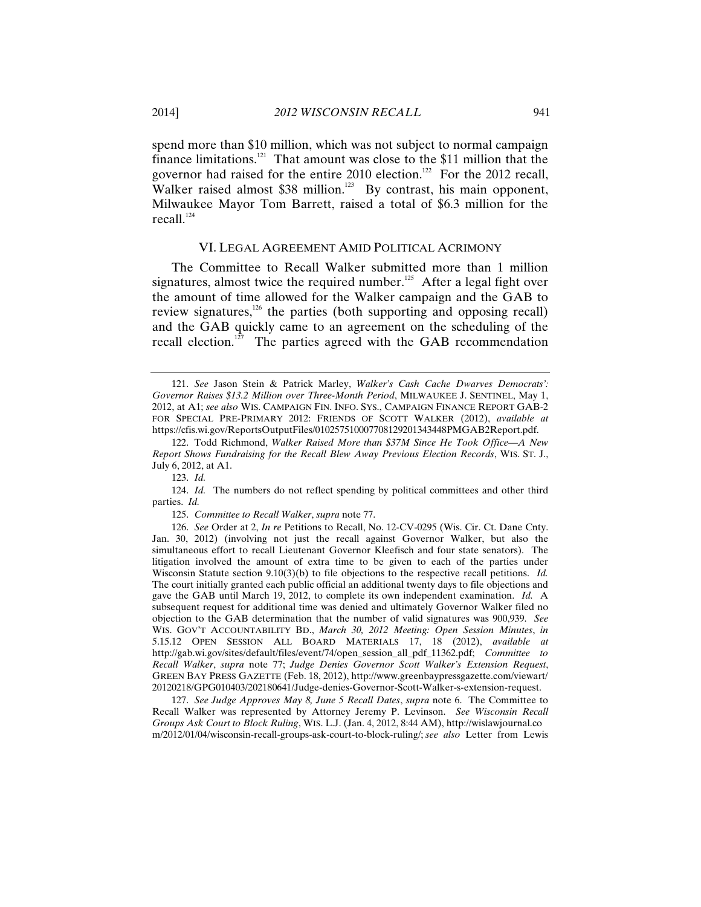spend more than \$10 million, which was not subject to normal campaign finance limitations.<sup>121</sup> That amount was close to the \$11 million that the governor had raised for the entire 2010 election.<sup>122</sup> For the 2012 recall, Walker raised almost \$38 million.<sup>123</sup> By contrast, his main opponent, Milwaukee Mayor Tom Barrett, raised a total of \$6.3 million for the recall. $124$ 

#### VI. LEGAL AGREEMENT AMID POLITICAL ACRIMONY

The Committee to Recall Walker submitted more than 1 million signatures, almost twice the required number.<sup>125</sup> After a legal fight over the amount of time allowed for the Walker campaign and the GAB to review signatures, $126$  the parties (both supporting and opposing recall) and the GAB quickly came to an agreement on the scheduling of the recall election.<sup>127</sup> The parties agreed with the GAB recommendation

124. *Id.* The numbers do not reflect spending by political committees and other third parties. *Id.*

125. *Committee to Recall Walker*, *supra* note 77.

126. *See* Order at 2, *In re* Petitions to Recall, No. 12-CV-0295 (Wis. Cir. Ct. Dane Cnty. Jan. 30, 2012) (involving not just the recall against Governor Walker, but also the simultaneous effort to recall Lieutenant Governor Kleefisch and four state senators). The litigation involved the amount of extra time to be given to each of the parties under Wisconsin Statute section 9.10(3)(b) to file objections to the respective recall petitions. *Id.* The court initially granted each public official an additional twenty days to file objections and gave the GAB until March 19, 2012, to complete its own independent examination. *Id.* A subsequent request for additional time was denied and ultimately Governor Walker filed no objection to the GAB determination that the number of valid signatures was 900,939. *See*  WIS. GOV'T ACCOUNTABILITY BD., *March 30, 2012 Meeting: Open Session Minutes*, *in*  5.15.12 OPEN SESSION ALL BOARD MATERIALS 17, 18 (2012), *available at*  http://gab.wi.gov/sites/default/files/event/74/open\_session\_all\_pdf\_11362.pdf; *Committee to Recall Walker*, *supra* note 77; *Judge Denies Governor Scott Walker's Extension Request*, GREEN BAY PRESS GAZETTE (Feb. 18, 2012), http://www.greenbaypressgazette.com/viewart/ 20120218/GPG010403/202180641/Judge-denies-Governor-Scott-Walker-s-extension-request.

127. *See Judge Approves May 8, June 5 Recall Dates*, *supra* note 6. The Committee to Recall Walker was represented by Attorney Jeremy P. Levinson. *See Wisconsin Recall Groups Ask Court to Block Ruling*, WIS. L.J. (Jan. 4, 2012, 8:44 AM), http://wislawjournal.co m/2012/01/04/wisconsin-recall-groups-ask-court-to-block-ruling/; *see also* Letter from Lewis

<sup>121.</sup> *See* Jason Stein & Patrick Marley, *Walker's Cash Cache Dwarves Democrats': Governor Raises \$13.2 Million over Three-Month Period*, MILWAUKEE J. SENTINEL, May 1, 2012, at A1; *see also* WIS. CAMPAIGN FIN. INFO. SYS., CAMPAIGN FINANCE REPORT GAB-2 FOR SPECIAL PRE-PRIMARY 2012: FRIENDS OF SCOTT WALKER (2012), *available at*  https://cfis.wi.gov/ReportsOutputFiles/010257510007708129201343448PMGAB2Report.pdf.

<sup>122.</sup> Todd Richmond, *Walker Raised More than \$37M Since He Took Office—A New Report Shows Fundraising for the Recall Blew Away Previous Election Records*, WIS. ST. J., July 6, 2012, at A1.

<sup>123.</sup> *Id.*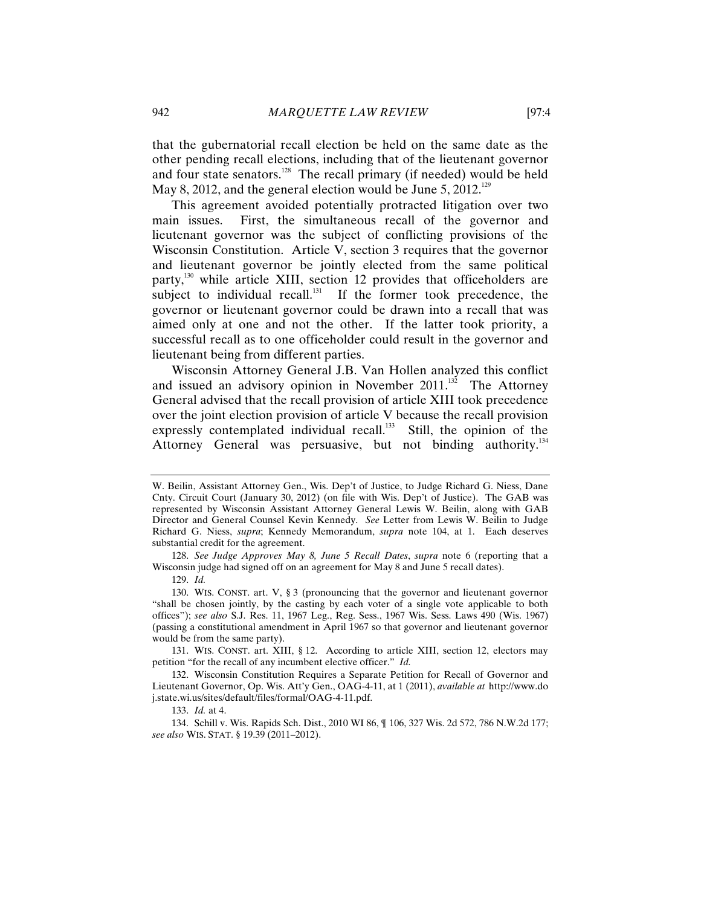that the gubernatorial recall election be held on the same date as the other pending recall elections, including that of the lieutenant governor and four state senators.128 The recall primary (if needed) would be held May 8, 2012, and the general election would be June 5, 2012.<sup>129</sup>

This agreement avoided potentially protracted litigation over two main issues. First, the simultaneous recall of the governor and lieutenant governor was the subject of conflicting provisions of the Wisconsin Constitution. Article V, section 3 requires that the governor and lieutenant governor be jointly elected from the same political party,<sup>130</sup> while article XIII, section 12 provides that officeholders are subject to individual recall.<sup>131</sup> If the former took precedence, the governor or lieutenant governor could be drawn into a recall that was aimed only at one and not the other. If the latter took priority, a successful recall as to one officeholder could result in the governor and lieutenant being from different parties.

Wisconsin Attorney General J.B. Van Hollen analyzed this conflict and issued an advisory opinion in November  $2011$ .<sup>132</sup> The Attorney General advised that the recall provision of article XIII took precedence over the joint election provision of article V because the recall provision expressly contemplated individual recall. $^{133}$  Still, the opinion of the Attorney General was persuasive, but not binding authority.<sup>134</sup>

W. Beilin, Assistant Attorney Gen., Wis. Dep't of Justice, to Judge Richard G. Niess, Dane Cnty. Circuit Court (January 30, 2012) (on file with Wis. Dep't of Justice). The GAB was represented by Wisconsin Assistant Attorney General Lewis W. Beilin, along with GAB Director and General Counsel Kevin Kennedy. *See* Letter from Lewis W. Beilin to Judge Richard G. Niess, *supra*; Kennedy Memorandum, *supra* note 104, at 1. Each deserves substantial credit for the agreement.

<sup>128.</sup> *See Judge Approves May 8, June 5 Recall Dates*, *supra* note 6 (reporting that a Wisconsin judge had signed off on an agreement for May 8 and June 5 recall dates).

<sup>129.</sup> *Id.*

<sup>130.</sup> WIS. CONST. art. V, § 3 (pronouncing that the governor and lieutenant governor "shall be chosen jointly, by the casting by each voter of a single vote applicable to both offices"); *see also* S.J. Res. 11, 1967 Leg., Reg. Sess., 1967 Wis. Sess. Laws 490 (Wis. 1967) (passing a constitutional amendment in April 1967 so that governor and lieutenant governor would be from the same party).

<sup>131.</sup> WIS. CONST. art. XIII, § 12. According to article XIII, section 12, electors may petition "for the recall of any incumbent elective officer." *Id.*

<sup>132.</sup> Wisconsin Constitution Requires a Separate Petition for Recall of Governor and Lieutenant Governor, Op. Wis. Att'y Gen., OAG-4-11, at 1 (2011), *available at* http://www.do j.state.wi.us/sites/default/files/formal/OAG-4-11.pdf.

<sup>133.</sup> *Id.* at 4.

<sup>134.</sup> Schill v. Wis. Rapids Sch. Dist., 2010 WI 86, ¶ 106, 327 Wis. 2d 572, 786 N.W.2d 177; *see also* WIS. STAT. § 19.39 (2011–2012).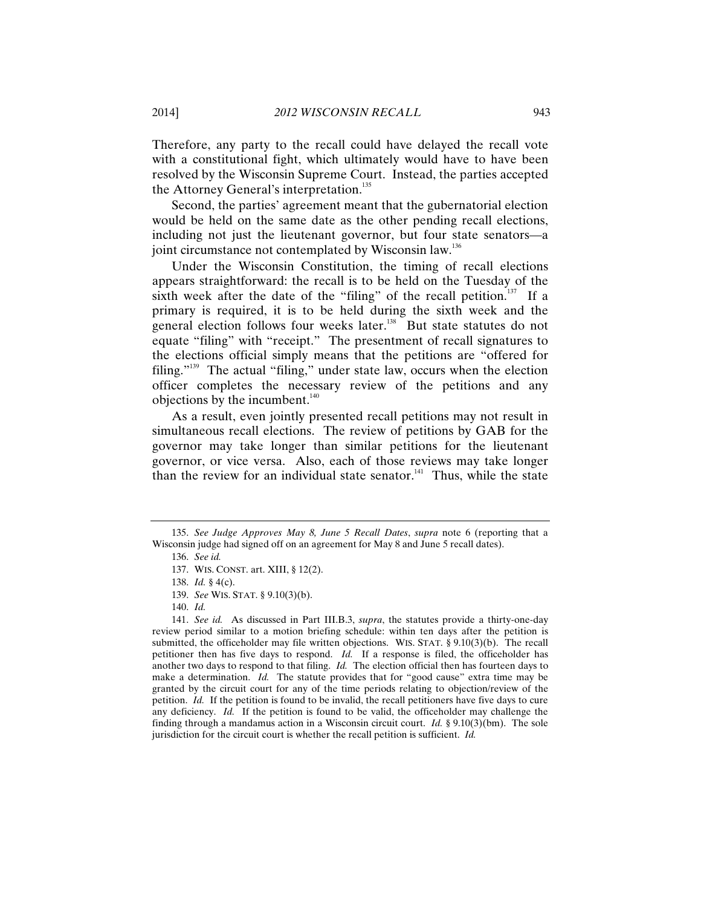Therefore, any party to the recall could have delayed the recall vote with a constitutional fight, which ultimately would have to have been resolved by the Wisconsin Supreme Court. Instead, the parties accepted the Attorney General's interpretation.<sup>135</sup>

Second, the parties' agreement meant that the gubernatorial election would be held on the same date as the other pending recall elections, including not just the lieutenant governor, but four state senators—a joint circumstance not contemplated by Wisconsin law.<sup>136</sup>

Under the Wisconsin Constitution, the timing of recall elections appears straightforward: the recall is to be held on the Tuesday of the sixth week after the date of the "filing" of the recall petition. $137$  If a primary is required, it is to be held during the sixth week and the general election follows four weeks later.<sup>138</sup> But state statutes do not equate "filing" with "receipt." The presentment of recall signatures to the elections official simply means that the petitions are "offered for filing."<sup>139</sup> The actual "filing," under state law, occurs when the election officer completes the necessary review of the petitions and any objections by the incumbent. $140$ 

As a result, even jointly presented recall petitions may not result in simultaneous recall elections. The review of petitions by GAB for the governor may take longer than similar petitions for the lieutenant governor, or vice versa. Also, each of those reviews may take longer than the review for an individual state senator.<sup>141</sup> Thus, while the state

<sup>135.</sup> *See Judge Approves May 8, June 5 Recall Dates*, *supra* note 6 (reporting that a Wisconsin judge had signed off on an agreement for May 8 and June 5 recall dates).

<sup>136.</sup> *See id.* 

<sup>137.</sup> WIS. CONST. art. XIII, § 12(2).

<sup>138.</sup> *Id.* § 4(c).

<sup>139.</sup> *See* WIS. STAT. § 9.10(3)(b).

<sup>140.</sup> *Id.*

<sup>141.</sup> *See id.* As discussed in Part III.B.3, *supra*, the statutes provide a thirty-one-day review period similar to a motion briefing schedule: within ten days after the petition is submitted, the officeholder may file written objections. WIS. STAT. § 9.10(3)(b). The recall petitioner then has five days to respond. *Id.* If a response is filed, the officeholder has another two days to respond to that filing. *Id.* The election official then has fourteen days to make a determination. *Id*. The statute provides that for "good cause" extra time may be granted by the circuit court for any of the time periods relating to objection/review of the petition. *Id.* If the petition is found to be invalid, the recall petitioners have five days to cure any deficiency. *Id.* If the petition is found to be valid, the officeholder may challenge the finding through a mandamus action in a Wisconsin circuit court. *Id.* § 9.10(3)(bm). The sole jurisdiction for the circuit court is whether the recall petition is sufficient. *Id.*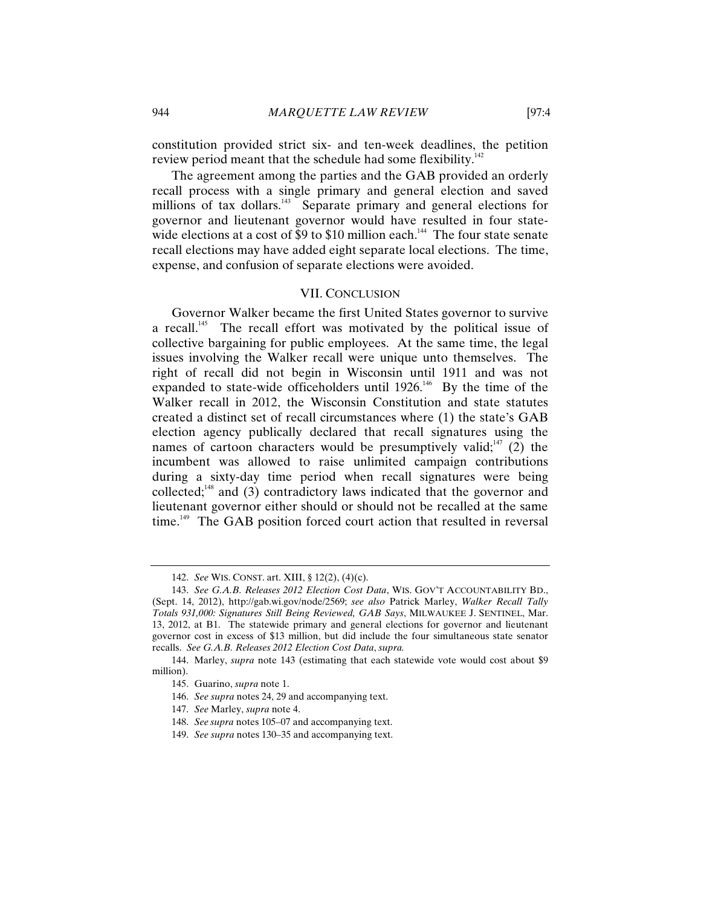constitution provided strict six- and ten-week deadlines, the petition review period meant that the schedule had some flexibility.<sup>142</sup>

The agreement among the parties and the GAB provided an orderly recall process with a single primary and general election and saved millions of tax dollars.<sup>143</sup> Separate primary and general elections for governor and lieutenant governor would have resulted in four statewide elections at a cost of  $\overline{\$9}$  to  $\$10$  million each.<sup>144</sup> The four state senate recall elections may have added eight separate local elections. The time, expense, and confusion of separate elections were avoided.

#### VII. CONCLUSION

Governor Walker became the first United States governor to survive a recall.<sup>145</sup> The recall effort was motivated by the political issue of collective bargaining for public employees. At the same time, the legal issues involving the Walker recall were unique unto themselves. The right of recall did not begin in Wisconsin until 1911 and was not expanded to state-wide officeholders until  $1926$ .<sup>146</sup> By the time of the Walker recall in 2012, the Wisconsin Constitution and state statutes created a distinct set of recall circumstances where (1) the state's GAB election agency publically declared that recall signatures using the names of cartoon characters would be presumptively valid;<sup>147</sup> (2) the incumbent was allowed to raise unlimited campaign contributions during a sixty-day time period when recall signatures were being collected; $48$  and (3) contradictory laws indicated that the governor and lieutenant governor either should or should not be recalled at the same time.<sup>149</sup> The GAB position forced court action that resulted in reversal

<sup>142.</sup> *See* WIS. CONST. art. XIII, § 12(2), (4)(c).

<sup>143.</sup> *See G.A.B. Releases 2012 Election Cost Data*, WIS. GOV'T ACCOUNTABILITY BD., (Sept. 14, 2012), http://gab.wi.gov/node/2569; *see also* Patrick Marley, *Walker Recall Tally Totals 931,000: Signatures Still Being Reviewed, GAB Says*, MILWAUKEE J. SENTINEL, Mar. 13, 2012, at B1. The statewide primary and general elections for governor and lieutenant governor cost in excess of \$13 million, but did include the four simultaneous state senator recalls. *See G.A.B. Releases 2012 Election Cost Data*, *supra.* 

<sup>144.</sup> Marley, *supra* note 143 (estimating that each statewide vote would cost about \$9 million).

<sup>145.</sup> Guarino, *supra* note 1.

<sup>146.</sup> *See supra* notes 24, 29 and accompanying text.

<sup>147.</sup> *See* Marley, *supra* note 4.

<sup>148.</sup> *See supra* notes 105–07 and accompanying text.

<sup>149.</sup> *See supra* notes 130–35 and accompanying text.